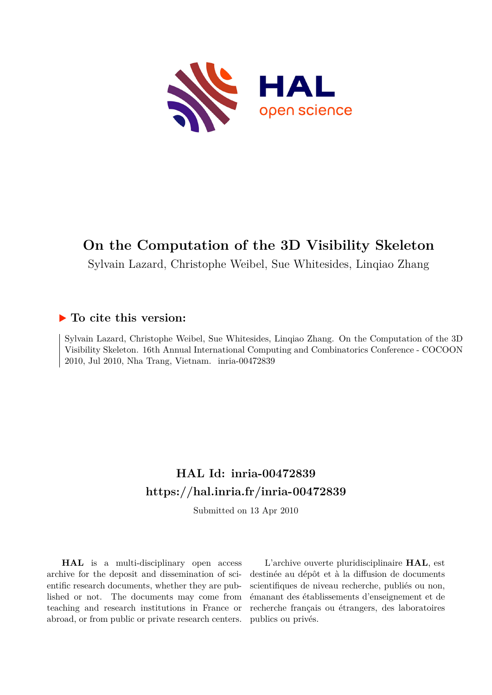

# **On the Computation of the 3D Visibility Skeleton**

Sylvain Lazard, Christophe Weibel, Sue Whitesides, Linqiao Zhang

# **To cite this version:**

Sylvain Lazard, Christophe Weibel, Sue Whitesides, Linqiao Zhang. On the Computation of the 3D Visibility Skeleton. 16th Annual International Computing and Combinatorics Conference - COCOON 2010, Jul 2010, Nha Trang, Vietnam. inria-00472839

# **HAL Id: inria-00472839 <https://hal.inria.fr/inria-00472839>**

Submitted on 13 Apr 2010

**HAL** is a multi-disciplinary open access archive for the deposit and dissemination of scientific research documents, whether they are published or not. The documents may come from teaching and research institutions in France or abroad, or from public or private research centers.

L'archive ouverte pluridisciplinaire **HAL**, est destinée au dépôt et à la diffusion de documents scientifiques de niveau recherche, publiés ou non, émanant des établissements d'enseignement et de recherche français ou étrangers, des laboratoires publics ou privés.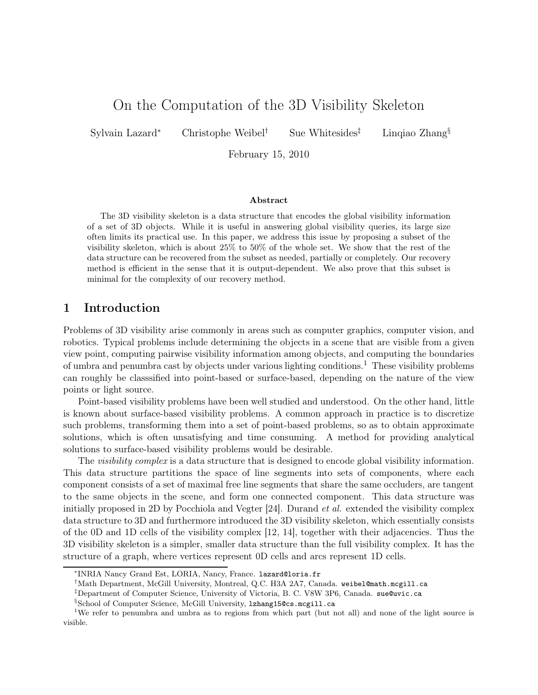# On the Computation of the 3D Visibility Skeleton

Sylvain Lazard<sup>∗</sup> Christophe Weibel† Sue Whitesides‡ Linqiao Zhang§

February 15, 2010

#### Abstract

The 3D visibility skeleton is a data structure that encodes the global visibility information of a set of 3D objects. While it is useful in answering global visibility queries, its large size often limits its practical use. In this paper, we address this issue by proposing a subset of the visibility skeleton, which is about 25% to 50% of the whole set. We show that the rest of the data structure can be recovered from the subset as needed, partially or completely. Our recovery method is efficient in the sense that it is output-dependent. We also prove that this subset is minimal for the complexity of our recovery method.

# 1 Introduction

Problems of 3D visibility arise commonly in areas such as computer graphics, computer vision, and robotics. Typical problems include determining the objects in a scene that are visible from a given view point, computing pairwise visibility information among objects, and computing the boundaries of umbra and penumbra cast by objects under various lighting conditions.<sup>1</sup> These visibility problems can roughly be classsified into point-based or surface-based, depending on the nature of the view points or light source.

Point-based visibility problems have been well studied and understood. On the other hand, little is known about surface-based visibility problems. A common approach in practice is to discretize such problems, transforming them into a set of point-based problems, so as to obtain approximate solutions, which is often unsatisfying and time consuming. A method for providing analytical solutions to surface-based visibility problems would be desirable.

The *visibility complex* is a data structure that is designed to encode global visibility information. This data structure partitions the space of line segments into sets of components, where each component consists of a set of maximal free line segments that share the same occluders, are tangent to the same objects in the scene, and form one connected component. This data structure was initially proposed in 2D by Pocchiola and Vegter [24]. Durand et al. extended the visibility complex data structure to 3D and furthermore introduced the 3D visibility skeleton, which essentially consists of the 0D and 1D cells of the visibility complex [12, 14], together with their adjacencies. Thus the 3D visibility skeleton is a simpler, smaller data structure than the full visibility complex. It has the structure of a graph, where vertices represent 0D cells and arcs represent 1D cells.

<sup>∗</sup> INRIA Nancy Grand Est, LORIA, Nancy, France. lazard@loria.fr

<sup>†</sup>Math Department, McGill University, Montreal, Q.C. H3A 2A7, Canada. weibel@math.mcgill.ca

<sup>‡</sup>Department of Computer Science, University of Victoria, B. C. V8W 3P6, Canada. sue@uvic.ca

<sup>§</sup>School of Computer Science, McGill University, lzhang15@cs.mcgill.ca

<sup>&</sup>lt;sup>1</sup>We refer to penumbra and umbra as to regions from which part (but not all) and none of the light source is visible.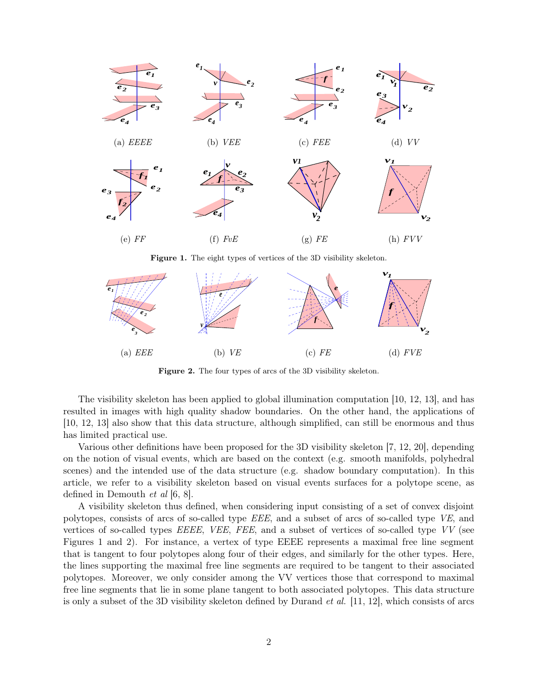

Figure 1. The eight types of vertices of the 3D visibility skeleton.



Figure 2. The four types of arcs of the 3D visibility skeleton.

The visibility skeleton has been applied to global illumination computation [10, 12, 13], and has resulted in images with high quality shadow boundaries. On the other hand, the applications of [10, 12, 13] also show that this data structure, although simplified, can still be enormous and thus has limited practical use.

Various other definitions have been proposed for the 3D visibility skeleton [7, 12, 20], depending on the notion of visual events, which are based on the context (e.g. smooth manifolds, polyhedral scenes) and the intended use of the data structure (e.g. shadow boundary computation). In this article, we refer to a visibility skeleton based on visual events surfaces for a polytope scene, as defined in Demouth  $et \ al \ [6, 8]$ .

A visibility skeleton thus defined, when considering input consisting of a set of convex disjoint polytopes, consists of arcs of so-called type EEE, and a subset of arcs of so-called type VE, and vertices of so-called types EEEE, VEE, FEE, and a subset of vertices of so-called type VV (see Figures 1 and 2). For instance, a vertex of type EEEE represents a maximal free line segment that is tangent to four polytopes along four of their edges, and similarly for the other types. Here, the lines supporting the maximal free line segments are required to be tangent to their associated polytopes. Moreover, we only consider among the VV vertices those that correspond to maximal free line segments that lie in some plane tangent to both associated polytopes. This data structure is only a subset of the 3D visibility skeleton defined by Durand *et al.* [11, 12], which consists of arcs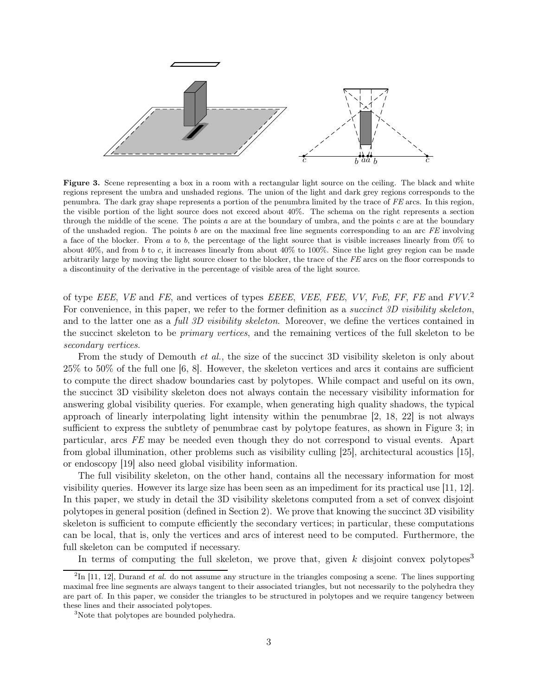

Figure 3. Scene representing a box in a room with a rectangular light source on the ceiling. The black and white regions represent the umbra and unshaded regions. The union of the light and dark grey regions corresponds to the penumbra. The dark gray shape represents a portion of the penumbra limited by the trace of FE arcs. In this region, the visible portion of the light source does not exceed about 40%. The schema on the right represents a section through the middle of the scene. The points a are at the boundary of umbra, and the points c are at the boundary of the unshaded region. The points b are on the maximal free line segments corresponding to an arc FE involving a face of the blocker. From a to b, the percentage of the light source that is visible increases linearly from  $0\%$  to about 40%, and from b to c, it increases linearly from about  $40\%$  to  $100\%$ . Since the light grey region can be made arbitrarily large by moving the light source closer to the blocker, the trace of the FE arcs on the floor corresponds to a discontinuity of the derivative in the percentage of visible area of the light source.

of type EEE, VE and FE, and vertices of types EEEE, VEE, FEE, VV, FvE, FF, FE and FVV.<sup>2</sup> For convenience, in this paper, we refer to the former definition as a *succinct 3D visibility skeleton*, and to the latter one as a full 3D visibility skeleton. Moreover, we define the vertices contained in the succinct skeleton to be primary vertices, and the remaining vertices of the full skeleton to be secondary vertices.

From the study of Demouth *et al.*, the size of the succinct 3D visibility skeleton is only about 25% to 50% of the full one [6, 8]. However, the skeleton vertices and arcs it contains are sufficient to compute the direct shadow boundaries cast by polytopes. While compact and useful on its own, the succinct 3D visibility skeleton does not always contain the necessary visibility information for answering global visibility queries. For example, when generating high quality shadows, the typical approach of linearly interpolating light intensity within the penumbrae [2, 18, 22] is not always sufficient to express the subtlety of penumbrae cast by polytope features, as shown in Figure 3; in particular, arcs FE may be needed even though they do not correspond to visual events. Apart from global illumination, other problems such as visibility culling [25], architectural acoustics [15], or endoscopy [19] also need global visibility information.

The full visibility skeleton, on the other hand, contains all the necessary information for most visibility queries. However its large size has been seen as an impediment for its practical use [11, 12]. In this paper, we study in detail the 3D visibility skeletons computed from a set of convex disjoint polytopes in general position (defined in Section 2). We prove that knowing the succinct 3D visibility skeleton is sufficient to compute efficiently the secondary vertices; in particular, these computations can be local, that is, only the vertices and arcs of interest need to be computed. Furthermore, the full skeleton can be computed if necessary.

In terms of computing the full skeleton, we prove that, given k disjoint convex polytopes<sup>3</sup>

 ${}^{2}\text{In}$  [11, 12], Durand *et al.* do not assume any structure in the triangles composing a scene. The lines supporting maximal free line segments are always tangent to their associated triangles, but not necessarily to the polyhedra they are part of. In this paper, we consider the triangles to be structured in polytopes and we require tangency between these lines and their associated polytopes.

<sup>&</sup>lt;sup>3</sup>Note that polytopes are bounded polyhedra.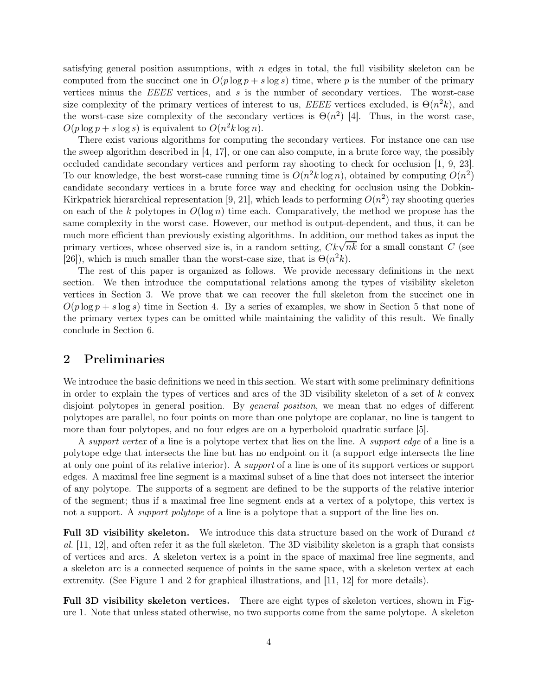satisfying general position assumptions, with  $n$  edges in total, the full visibility skeleton can be computed from the succinct one in  $O(p \log p + s \log s)$  time, where p is the number of the primary vertices minus the EEEE vertices, and  $s$  is the number of secondary vertices. The worst-case size complexity of the primary vertices of interest to us, EEEE vertices excluded, is  $\Theta(n^2k)$ , and the worst-case size complexity of the secondary vertices is  $\Theta(n^2)$  [4]. Thus, in the worst case,  $O(p \log p + s \log s)$  is equivalent to  $O(n^2 k \log n)$ .

There exist various algorithms for computing the secondary vertices. For instance one can use the sweep algorithm described in [4, 17], or one can also compute, in a brute force way, the possibly occluded candidate secondary vertices and perform ray shooting to check for occlusion [1, 9, 23]. To our knowledge, the best worst-case running time is  $O(n^2k \log n)$ , obtained by computing  $O(n^2)$ candidate secondary vertices in a brute force way and checking for occlusion using the Dobkin-Kirkpatrick hierarchical representation [9, 21], which leads to performing  $O(n^2)$  ray shooting queries on each of the k polytopes in  $O(\log n)$  time each. Comparatively, the method we propose has the same complexity in the worst case. However, our method is output-dependent, and thus, it can be much more efficient than previously existing algorithms. In addition, our method takes as input the primary vertices, whose observed size is, in a random setting,  $Ck\sqrt{nk}$  for a small constant C (see [26]), which is much smaller than the worst-case size, that is  $\Theta(n^2k)$ .

The rest of this paper is organized as follows. We provide necessary definitions in the next section. We then introduce the computational relations among the types of visibility skeleton vertices in Section 3. We prove that we can recover the full skeleton from the succinct one in  $O(p \log p + s \log s)$  time in Section 4. By a series of examples, we show in Section 5 that none of the primary vertex types can be omitted while maintaining the validity of this result. We finally conclude in Section 6.

### 2 Preliminaries

We introduce the basic definitions we need in this section. We start with some preliminary definitions in order to explain the types of vertices and arcs of the 3D visibility skeleton of a set of  $k$  convex disjoint polytopes in general position. By *general position*, we mean that no edges of different polytopes are parallel, no four points on more than one polytope are coplanar, no line is tangent to more than four polytopes, and no four edges are on a hyperboloid quadratic surface [5].

A support vertex of a line is a polytope vertex that lies on the line. A support edge of a line is a polytope edge that intersects the line but has no endpoint on it (a support edge intersects the line at only one point of its relative interior). A support of a line is one of its support vertices or support edges. A maximal free line segment is a maximal subset of a line that does not intersect the interior of any polytope. The supports of a segment are defined to be the supports of the relative interior of the segment; thus if a maximal free line segment ends at a vertex of a polytope, this vertex is not a support. A *support polytope* of a line is a polytope that a support of the line lies on.

Full 3D visibility skeleton. We introduce this data structure based on the work of Durand et  $al.$  [11, 12], and often refer it as the full skeleton. The 3D visibility skeleton is a graph that consists of vertices and arcs. A skeleton vertex is a point in the space of maximal free line segments, and a skeleton arc is a connected sequence of points in the same space, with a skeleton vertex at each extremity. (See Figure 1 and 2 for graphical illustrations, and [11, 12] for more details).

Full 3D visibility skeleton vertices. There are eight types of skeleton vertices, shown in Figure 1. Note that unless stated otherwise, no two supports come from the same polytope. A skeleton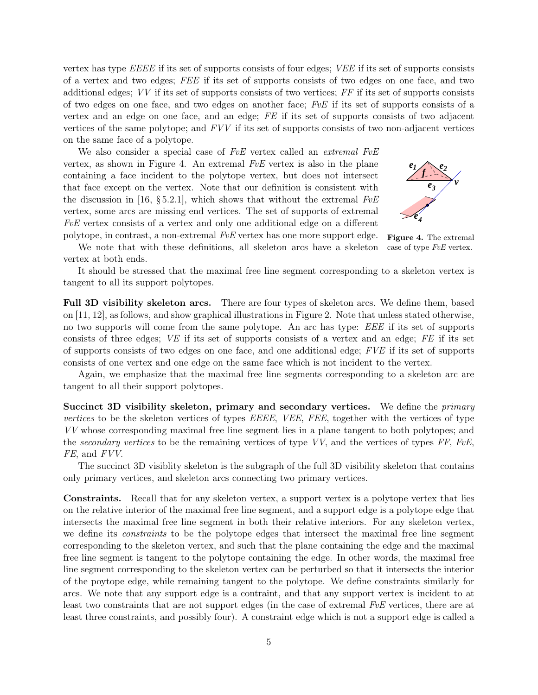vertex has type EEEE if its set of supports consists of four edges; VEE if its set of supports consists of a vertex and two edges; FEE if its set of supports consists of two edges on one face, and two additional edges; VV if its set of supports consists of two vertices; FF if its set of supports consists of two edges on one face, and two edges on another face;  $FvE$  if its set of supports consists of a vertex and an edge on one face, and an edge; FE if its set of supports consists of two adjacent vertices of the same polytope; and FVV if its set of supports consists of two non-adjacent vertices on the same face of a polytope.

We also consider a special case of  $FvE$  vertex called an *extremal FvE* vertex, as shown in Figure 4. An extremal FvE vertex is also in the plane containing a face incident to the polytope vertex, but does not intersect that face except on the vertex. Note that our definition is consistent with the discussion in [16, § 5.2.1], which shows that without the extremal  $FvE$ vertex, some arcs are missing end vertices. The set of supports of extremal FvE vertex consists of a vertex and only one additional edge on a different polytope, in contrast, a non-extremal FvE vertex has one more support edge.



Figure 4. The extremal case of type FvE vertex.

We note that with these definitions, all skeleton arcs have a skeleton vertex at both ends.

It should be stressed that the maximal free line segment corresponding to a skeleton vertex is tangent to all its support polytopes.

Full 3D visibility skeleton arcs. There are four types of skeleton arcs. We define them, based on [11, 12], as follows, and show graphical illustrations in Figure 2. Note that unless stated otherwise, no two supports will come from the same polytope. An arc has type: EEE if its set of supports consists of three edges; VE if its set of supports consists of a vertex and an edge; FE if its set of supports consists of two edges on one face, and one additional edge; FVE if its set of supports consists of one vertex and one edge on the same face which is not incident to the vertex.

Again, we emphasize that the maximal free line segments corresponding to a skeleton arc are tangent to all their support polytopes.

Succinct 3D visibility skeleton, primary and secondary vertices. We define the *primary* vertices to be the skeleton vertices of types EEEE, VEE, FEE, together with the vertices of type VV whose corresponding maximal free line segment lies in a plane tangent to both polytopes; and the secondary vertices to be the remaining vertices of type  $VV$ , and the vertices of types  $FF$ , FvE, FE, and FVV.

The succinct 3D visiblity skeleton is the subgraph of the full 3D visibility skeleton that contains only primary vertices, and skeleton arcs connecting two primary vertices.

Constraints. Recall that for any skeleton vertex, a support vertex is a polytope vertex that lies on the relative interior of the maximal free line segment, and a support edge is a polytope edge that intersects the maximal free line segment in both their relative interiors. For any skeleton vertex, we define its constraints to be the polytope edges that intersect the maximal free line segment corresponding to the skeleton vertex, and such that the plane containing the edge and the maximal free line segment is tangent to the polytope containing the edge. In other words, the maximal free line segment corresponding to the skeleton vertex can be perturbed so that it intersects the interior of the poytope edge, while remaining tangent to the polytope. We define constraints similarly for arcs. We note that any support edge is a contraint, and that any support vertex is incident to at least two constraints that are not support edges (in the case of extremal FvE vertices, there are at least three constraints, and possibly four). A constraint edge which is not a support edge is called a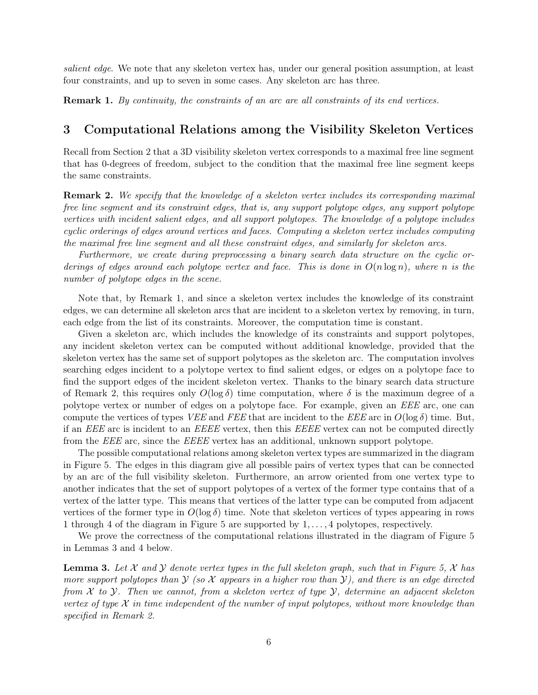salient edge. We note that any skeleton vertex has, under our general position assumption, at least four constraints, and up to seven in some cases. Any skeleton arc has three.

Remark 1. By continuity, the constraints of an arc are all constraints of its end vertices.

# 3 Computational Relations among the Visibility Skeleton Vertices

Recall from Section 2 that a 3D visibility skeleton vertex corresponds to a maximal free line segment that has 0-degrees of freedom, subject to the condition that the maximal free line segment keeps the same constraints.

**Remark 2.** We specify that the knowledge of a skeleton vertex includes its corresponding maximal free line segment and its constraint edges, that is, any support polytope edges, any support polytope vertices with incident salient edges, and all support polytopes. The knowledge of a polytope includes cyclic orderings of edges around vertices and faces. Computing a skeleton vertex includes computing the maximal free line segment and all these constraint edges, and similarly for skeleton arcs.

Furthermore, we create during preprocessing a binary search data structure on the cyclic orderings of edges around each polytope vertex and face. This is done in  $O(n \log n)$ , where n is the number of polytope edges in the scene.

Note that, by Remark 1, and since a skeleton vertex includes the knowledge of its constraint edges, we can determine all skeleton arcs that are incident to a skeleton vertex by removing, in turn, each edge from the list of its constraints. Moreover, the computation time is constant.

Given a skeleton arc, which includes the knowledge of its constraints and support polytopes, any incident skeleton vertex can be computed without additional knowledge, provided that the skeleton vertex has the same set of support polytopes as the skeleton arc. The computation involves searching edges incident to a polytope vertex to find salient edges, or edges on a polytope face to find the support edges of the incident skeleton vertex. Thanks to the binary search data structure of Remark 2, this requires only  $O(\log \delta)$  time computation, where  $\delta$  is the maximum degree of a polytope vertex or number of edges on a polytope face. For example, given an EEE arc, one can compute the vertices of types VEE and FEE that are incident to the EEE arc in  $O(\log \delta)$  time. But, if an *EEE* arc is incident to an *EEEE* vertex, then this *EEEE* vertex can not be computed directly from the EEE arc, since the EEEE vertex has an additional, unknown support polytope.

The possible computational relations among skeleton vertex types are summarized in the diagram in Figure 5. The edges in this diagram give all possible pairs of vertex types that can be connected by an arc of the full visibility skeleton. Furthermore, an arrow oriented from one vertex type to another indicates that the set of support polytopes of a vertex of the former type contains that of a vertex of the latter type. This means that vertices of the latter type can be computed from adjacent vertices of the former type in  $O(\log \delta)$  time. Note that skeleton vertices of types appearing in rows 1 through 4 of the diagram in Figure 5 are supported by 1, . . . , 4 polytopes, respectively.

We prove the correctness of the computational relations illustrated in the diagram of Figure 5 in Lemmas 3 and 4 below.

**Lemma 3.** Let X and Y denote vertex types in the full skeleton graph, such that in Figure 5, X has more support polytopes than  $\mathcal Y$  (so  $\mathcal X$  appears in a higher row than  $\mathcal Y$ ), and there is an edge directed from  $X$  to  $Y$ . Then we cannot, from a skeleton vertex of type  $Y$ , determine an adjacent skeleton vertex of type  $\mathcal X$  in time independent of the number of input polytopes, without more knowledge than specified in Remark 2.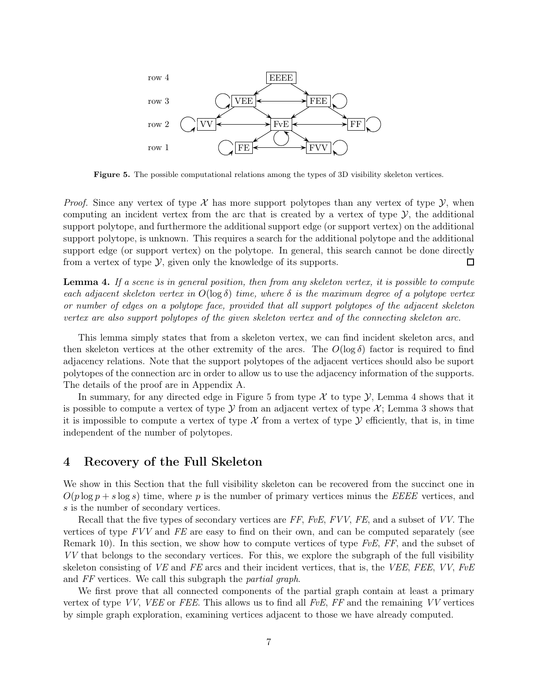

Figure 5. The possible computational relations among the types of 3D visibility skeleton vertices.

*Proof.* Since any vertex of type  $\mathcal X$  has more support polytopes than any vertex of type  $\mathcal Y$ , when computing an incident vertex from the arc that is created by a vertex of type  $\mathcal{Y}$ , the additional support polytope, and furthermore the additional support edge (or support vertex) on the additional support polytope, is unknown. This requires a search for the additional polytope and the additional support edge (or support vertex) on the polytope. In general, this search cannot be done directly from a vertex of type  $\mathcal{Y}$ , given only the knowledge of its supports.  $\Box$ 

Lemma 4. If a scene is in general position, then from any skeleton vertex, it is possible to compute each adjacent skeleton vertex in  $O(\log \delta)$  time, where  $\delta$  is the maximum degree of a polytope vertex or number of edges on a polytope face, provided that all support polytopes of the adjacent skeleton vertex are also support polytopes of the given skeleton vertex and of the connecting skeleton arc.

This lemma simply states that from a skeleton vertex, we can find incident skeleton arcs, and then skeleton vertices at the other extremity of the arcs. The  $O(\log \delta)$  factor is required to find adjacency relations. Note that the support polytopes of the adjacent vertices should also be suport polytopes of the connection arc in order to allow us to use the adjacency information of the supports. The details of the proof are in Appendix A.

In summary, for any directed edge in Figure 5 from type  $\mathcal X$  to type  $\mathcal Y$ , Lemma 4 shows that it is possible to compute a vertex of type  $\mathcal Y$  from an adjacent vertex of type  $\mathcal X$ ; Lemma 3 shows that it is impossible to compute a vertex of type  $\mathcal X$  from a vertex of type  $\mathcal Y$  efficiently, that is, in time independent of the number of polytopes.

### 4 Recovery of the Full Skeleton

We show in this Section that the full visibility skeleton can be recovered from the succinct one in  $O(p \log p + s \log s)$  time, where p is the number of primary vertices minus the EEEE vertices, and s is the number of secondary vertices.

Recall that the five types of secondary vertices are FF, FvE, FVV, FE, and a subset of VV. The vertices of type FVV and FE are easy to find on their own, and can be computed separately (see Remark 10). In this section, we show how to compute vertices of type  $FvE$ ,  $FF$ , and the subset of VV that belongs to the secondary vertices. For this, we explore the subgraph of the full visibility skeleton consisting of VE and FE arcs and their incident vertices, that is, the VEE, FEE, VV, FvE and FF vertices. We call this subgraph the partial graph.

We first prove that all connected components of the partial graph contain at least a primary vertex of type  $VV$ , VEE or FEE. This allows us to find all  $FvE$ , FF and the remaining VV vertices by simple graph exploration, examining vertices adjacent to those we have already computed.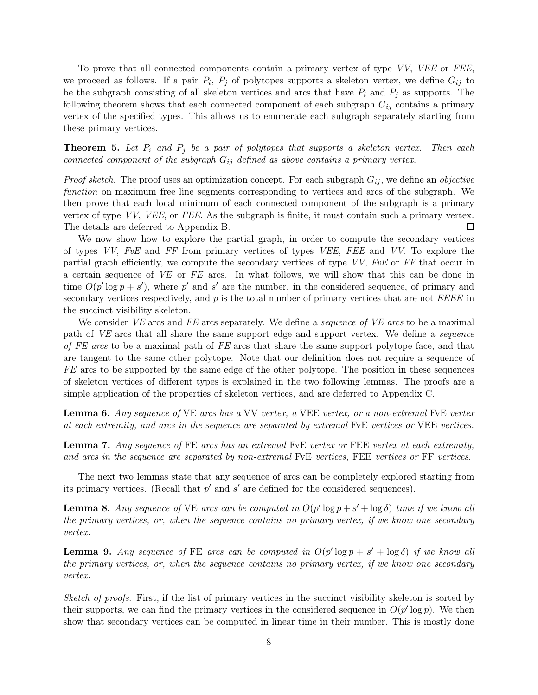To prove that all connected components contain a primary vertex of type VV, VEE or FEE, we proceed as follows. If a pair  $P_i$ ,  $P_j$  of polytopes supports a skeleton vertex, we define  $G_{ij}$  to be the subgraph consisting of all skeleton vertices and arcs that have  $P_i$  and  $P_j$  as supports. The following theorem shows that each connected component of each subgraph  $G_{ij}$  contains a primary vertex of the specified types. This allows us to enumerate each subgraph separately starting from these primary vertices.

**Theorem 5.** Let  $P_i$  and  $P_j$  be a pair of polytopes that supports a skeleton vertex. Then each connected component of the subgraph  $G_{ij}$  defined as above contains a primary vertex.

*Proof sketch.* The proof uses an optimization concept. For each subgraph  $G_{ij}$ , we define an *objective* function on maximum free line segments corresponding to vertices and arcs of the subgraph. We then prove that each local minimum of each connected component of the subgraph is a primary vertex of type VV, VEE, or FEE. As the subgraph is finite, it must contain such a primary vertex. The details are deferred to Appendix B. 口

We now show how to explore the partial graph, in order to compute the secondary vertices of types VV, FvE and FF from primary vertices of types VEE, FEE and VV. To explore the partial graph efficiently, we compute the secondary vertices of type VV, FvE or FF that occur in a certain sequence of VE or FE arcs. In what follows, we will show that this can be done in time  $O(p' \log p + s')$ , where p' and s' are the number, in the considered sequence, of primary and secondary vertices respectively, and  $p$  is the total number of primary vertices that are not *EEEE* in the succinct visibility skeleton.

We consider  $VE$  arcs and  $FE$  arcs separately. We define a *sequence of VE arcs* to be a maximal path of VE arcs that all share the same support edge and support vertex. We define a sequence of FE arcs to be a maximal path of FE arcs that share the same support polytope face, and that are tangent to the same other polytope. Note that our definition does not require a sequence of FE arcs to be supported by the same edge of the other polytope. The position in these sequences of skeleton vertices of different types is explained in the two following lemmas. The proofs are a simple application of the properties of skeleton vertices, and are deferred to Appendix C.

Lemma 6. Any sequence of VE arcs has a VV vertex, a VEE vertex, or a non-extremal FvE vertex at each extremity, and arcs in the sequence are separated by extremal FvE vertices or VEE vertices.

Lemma 7. Any sequence of FE arcs has an extremal FVE vertex or FEE vertex at each extremity, and arcs in the sequence are separated by non-extremal FvE vertices, FEE vertices or FF vertices.

The next two lemmas state that any sequence of arcs can be completely explored starting from its primary vertices. (Recall that  $p'$  and  $s'$  are defined for the considered sequences).

**Lemma 8.** Any sequence of VE arcs can be computed in  $O(p' \log p + s' + \log \delta)$  time if we know all the primary vertices, or, when the sequence contains no primary vertex, if we know one secondary vertex.

**Lemma 9.** Any sequence of FE arcs can be computed in  $O(p' \log p + s' + \log \delta)$  if we know all the primary vertices, or, when the sequence contains no primary vertex, if we know one secondary vertex.

Sketch of proofs. First, if the list of primary vertices in the succinct visibility skeleton is sorted by their supports, we can find the primary vertices in the considered sequence in  $O(p' \log p)$ . We then show that secondary vertices can be computed in linear time in their number. This is mostly done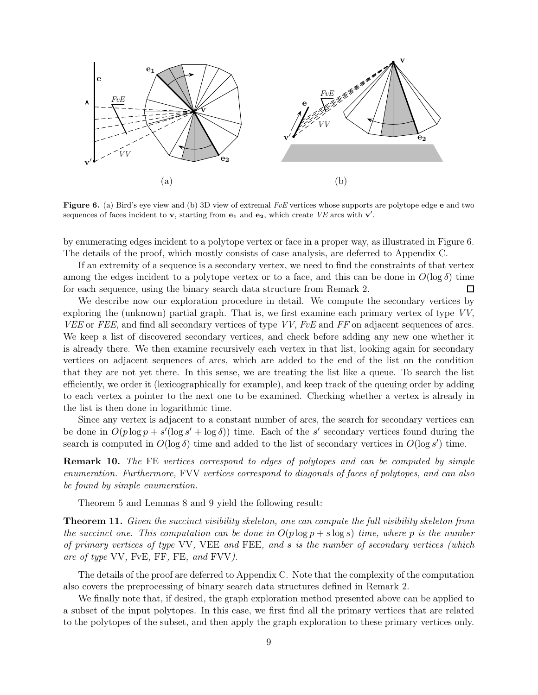

**Figure 6.** (a) Bird's eye view and (b) 3D view of extremal  $FvE$  vertices whose supports are polytope edge e and two sequences of faces incident to  $v$ , starting from  $e_1$  and  $e_2$ , which create VE arcs with  $v'$ .

by enumerating edges incident to a polytope vertex or face in a proper way, as illustrated in Figure 6. The details of the proof, which mostly consists of case analysis, are deferred to Appendix C.

If an extremity of a sequence is a secondary vertex, we need to find the constraints of that vertex among the edges incident to a polytope vertex or to a face, and this can be done in  $O(\log \delta)$  time for each sequence, using the binary search data structure from Remark 2. П

We describe now our exploration procedure in detail. We compute the secondary vertices by exploring the (unknown) partial graph. That is, we first examine each primary vertex of type VV, VEE or FEE, and find all secondary vertices of type VV, FvE and FF on adjacent sequences of arcs. We keep a list of discovered secondary vertices, and check before adding any new one whether it is already there. We then examine recursively each vertex in that list, looking again for secondary vertices on adjacent sequences of arcs, which are added to the end of the list on the condition that they are not yet there. In this sense, we are treating the list like a queue. To search the list efficiently, we order it (lexicographically for example), and keep track of the queuing order by adding to each vertex a pointer to the next one to be examined. Checking whether a vertex is already in the list is then done in logarithmic time.

Since any vertex is adjacent to a constant number of arcs, the search for secondary vertices can be done in  $O(p \log p + s'(\log s' + \log \delta))$  time. Each of the s' secondary vertices found during the search is computed in  $O(\log \delta)$  time and added to the list of secondary vertices in  $O(\log s')$  time.

Remark 10. The FE vertices correspond to edges of polytopes and can be computed by simple enumeration. Furthermore, FVV vertices correspond to diagonals of faces of polytopes, and can also be found by simple enumeration.

Theorem 5 and Lemmas 8 and 9 yield the following result:

**Theorem 11.** Given the succinct visibility skeleton, one can compute the full visibility skeleton from the succinct one. This computation can be done in  $O(p \log p + s \log s)$  time, where p is the number of primary vertices of type VV, VEE and FEE, and s is the number of secondary vertices (which are of type VV, FvE, FF, FE, and FVV).

The details of the proof are deferred to Appendix C. Note that the complexity of the computation also covers the preprocessing of binary search data structures defined in Remark 2.

We finally note that, if desired, the graph exploration method presented above can be applied to a subset of the input polytopes. In this case, we first find all the primary vertices that are related to the polytopes of the subset, and then apply the graph exploration to these primary vertices only.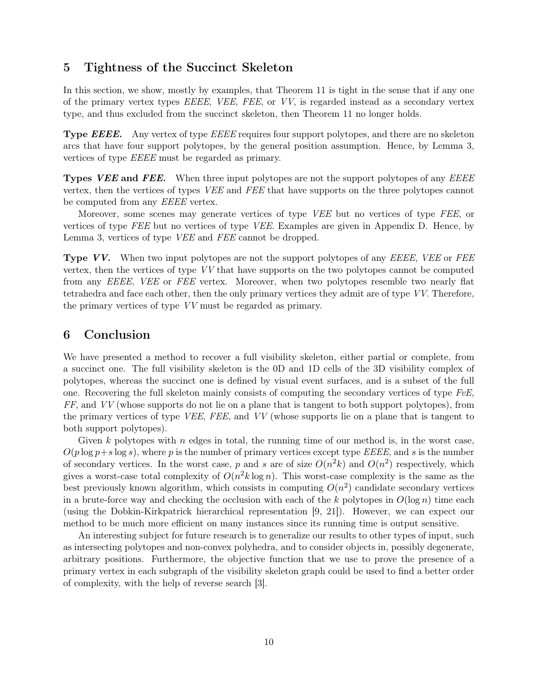# 5 Tightness of the Succinct Skeleton

In this section, we show, mostly by examples, that Theorem 11 is tight in the sense that if any one of the primary vertex types EEEE, VEE, FEE, or VV, is regarded instead as a secondary vertex type, and thus excluded from the succinct skeleton, then Theorem 11 no longer holds.

**Type EEEE.** Any vertex of type EEEE requires four support polytopes, and there are no skeleton arcs that have four support polytopes, by the general position assumption. Hence, by Lemma 3, vertices of type EEEE must be regarded as primary.

**Types VEE and FEE.** When three input polytopes are not the support polytopes of any EEEE vertex, then the vertices of types *VEE* and *FEE* that have supports on the three polytopes cannot be computed from any *EEEE* vertex.

Moreover, some scenes may generate vertices of type *VEE* but no vertices of type *FEE*, or vertices of type FEE but no vertices of type VEE. Examples are given in Appendix D. Hence, by Lemma 3, vertices of type VEE and FEE cannot be dropped.

**Type VV.** When two input polytopes are not the support polytopes of any EEEE, VEE or FEE vertex, then the vertices of type VV that have supports on the two polytopes cannot be computed from any EEEE, VEE or FEE vertex. Moreover, when two polytopes resemble two nearly flat tetrahedra and face each other, then the only primary vertices they admit are of type VV. Therefore, the primary vertices of type VV must be regarded as primary.

# 6 Conclusion

We have presented a method to recover a full visibility skeleton, either partial or complete, from a succinct one. The full visibility skeleton is the 0D and 1D cells of the 3D visibility complex of polytopes, whereas the succinct one is defined by visual event surfaces, and is a subset of the full one. Recovering the full skeleton mainly consists of computing the secondary vertices of type  $FvE$ ,  $FF$ , and  $VV$  (whose supports do not lie on a plane that is tangent to both support polytopes), from the primary vertices of type VEE, FEE, and VV (whose supports lie on a plane that is tangent to both support polytopes).

Given k polytopes with n edges in total, the running time of our method is, in the worst case,  $O(p \log p+s \log s)$ , where p is the number of primary vertices except type *EEEE*, and s is the number of secondary vertices. In the worst case, p and s are of size  $O(n^2k)$  and  $O(n^2)$  respectively, which gives a worst-case total complexity of  $O(n^2k \log n)$ . This worst-case complexity is the same as the best previously known algorithm, which consists in computing  $O(n^2)$  candidate secondary vertices in a brute-force way and checking the occlusion with each of the k polytopes in  $O(\log n)$  time each (using the Dobkin-Kirkpatrick hierarchical representation [9, 21]). However, we can expect our method to be much more efficient on many instances since its running time is output sensitive.

An interesting subject for future research is to generalize our results to other types of input, such as intersecting polytopes and non-convex polyhedra, and to consider objects in, possibly degenerate, arbitrary positions. Furthermore, the objective function that we use to prove the presence of a primary vertex in each subgraph of the visibility skeleton graph could be used to find a better order of complexity, with the help of reverse search [3].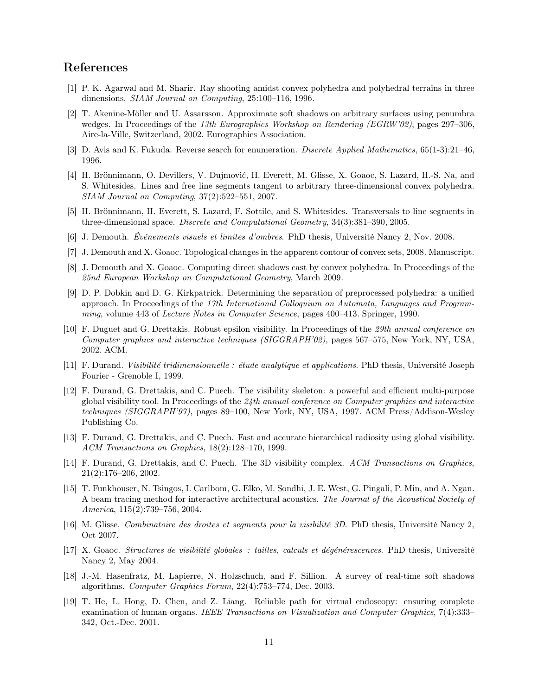# References

- [1] P. K. Agarwal and M. Sharir. Ray shooting amidst convex polyhedra and polyhedral terrains in three dimensions. SIAM Journal on Computing, 25:100–116, 1996.
- [2] T. Akenine-Möller and U. Assarsson. Approximate soft shadows on arbitrary surfaces using penumbra wedges. In Proceedings of the 13th Eurographics Workshop on Rendering (EGRW'02), pages 297–306, Aire-la-Ville, Switzerland, 2002. Eurographics Association.
- [3] D. Avis and K. Fukuda. Reverse search for enumeration. Discrete Applied Mathematics, 65(1-3):21–46, 1996.
- [4] H. Brönnimann, O. Devillers, V. Dujmović, H. Everett, M. Glisse, X. Goaoc, S. Lazard, H.-S. Na, and S. Whitesides. Lines and free line segments tangent to arbitrary three-dimensional convex polyhedra. SIAM Journal on Computing, 37(2):522–551, 2007.
- [5] H. Brönnimann, H. Everett, S. Lazard, F. Sottile, and S. Whitesides. Transversals to line segments in three-dimensional space. Discrete and Computational Geometry, 34(3):381–390, 2005.
- [6] J. Demouth. Événements visuels et limites d'ombres. PhD thesis, Université Nancy 2, Nov. 2008.
- [7] J. Demouth and X. Goaoc. Topological changes in the apparent contour of convex sets, 2008. Manuscript.
- [8] J. Demouth and X. Goaoc. Computing direct shadows cast by convex polyhedra. In Proceedings of the 25nd European Workshop on Computational Geometry, March 2009.
- [9] D. P. Dobkin and D. G. Kirkpatrick. Determining the separation of preprocessed polyhedra: a unified approach. In Proceedings of the 17th International Colloquium on Automata, Languages and Programming, volume 443 of Lecture Notes in Computer Science, pages 400–413. Springer, 1990.
- [10] F. Duguet and G. Drettakis. Robust epsilon visibility. In Proceedings of the 29th annual conference on Computer graphics and interactive techniques (SIGGRAPH'02), pages 567–575, New York, NY, USA, 2002. ACM.
- [11] F. Durand. Visibilité tridimensionnelle : étude analytique et applications. PhD thesis, Université Joseph Fourier - Grenoble I, 1999.
- [12] F. Durand, G. Drettakis, and C. Puech. The visibility skeleton: a powerful and efficient multi-purpose global visibility tool. In Proceedings of the 24th annual conference on Computer graphics and interactive techniques (SIGGRAPH'97), pages 89–100, New York, NY, USA, 1997. ACM Press/Addison-Wesley Publishing Co.
- [13] F. Durand, G. Drettakis, and C. Puech. Fast and accurate hierarchical radiosity using global visibility. ACM Transactions on Graphics, 18(2):128–170, 1999.
- [14] F. Durand, G. Drettakis, and C. Puech. The 3D visibility complex. ACM Transactions on Graphics, 21(2):176–206, 2002.
- [15] T. Funkhouser, N. Tsingos, I. Carlbom, G. Elko, M. Sondhi, J. E. West, G. Pingali, P. Min, and A. Ngan. A beam tracing method for interactive architectural acoustics. The Journal of the Acoustical Society of America, 115(2):739–756, 2004.
- [16] M. Glisse. Combinatoire des droites et segments pour la visibilité 3D. PhD thesis, Université Nancy 2, Oct 2007.
- [17] X. Goaoc. Structures de visibilité globales : tailles, calculs et dégénérescences. PhD thesis, Université Nancy 2, May 2004.
- [18] J.-M. Hasenfratz, M. Lapierre, N. Holzschuch, and F. Sillion. A survey of real-time soft shadows algorithms. Computer Graphics Forum, 22(4):753–774, Dec. 2003.
- [19] T. He, L. Hong, D. Chen, and Z. Liang. Reliable path for virtual endoscopy: ensuring complete examination of human organs. IEEE Transactions on Visualization and Computer Graphics, 7(4):333– 342, Oct.-Dec. 2001.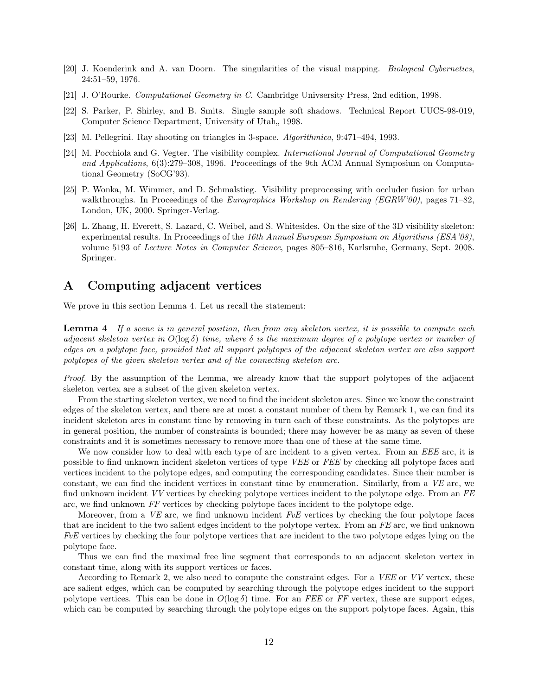- [20] J. Koenderink and A. van Doorn. The singularities of the visual mapping. Biological Cybernetics, 24:51–59, 1976.
- [21] J. O'Rourke. Computational Geometry in C. Cambridge Univsersity Press, 2nd edition, 1998.
- [22] S. Parker, P. Shirley, and B. Smits. Single sample soft shadows. Technical Report UUCS-98-019, Computer Science Department, University of Utah, 1998.
- [23] M. Pellegrini. Ray shooting on triangles in 3-space. Algorithmica, 9:471–494, 1993.
- [24] M. Pocchiola and G. Vegter. The visibility complex. International Journal of Computational Geometry and Applications, 6(3):279–308, 1996. Proceedings of the 9th ACM Annual Symposium on Computational Geometry (SoCG'93).
- [25] P. Wonka, M. Wimmer, and D. Schmalstieg. Visibility preprocessing with occluder fusion for urban walkthroughs. In Proceedings of the Eurographics Workshop on Rendering (EGRW'00), pages  $71-82$ , London, UK, 2000. Springer-Verlag.
- [26] L. Zhang, H. Everett, S. Lazard, C. Weibel, and S. Whitesides. On the size of the 3D visibility skeleton: experimental results. In Proceedings of the 16th Annual European Symposium on Algorithms (ESA'08), volume 5193 of Lecture Notes in Computer Science, pages 805–816, Karlsruhe, Germany, Sept. 2008. Springer.

# A Computing adjacent vertices

We prove in this section Lemma 4. Let us recall the statement:

**Lemma 4** If a scene is in general position, then from any skeleton vertex, it is possible to compute each adjacent skeleton vertex in  $O(\log \delta)$  time, where  $\delta$  is the maximum degree of a polytope vertex or number of edges on a polytope face, provided that all support polytopes of the adjacent skeleton vertex are also support polytopes of the given skeleton vertex and of the connecting skeleton arc.

Proof. By the assumption of the Lemma, we already know that the support polytopes of the adjacent skeleton vertex are a subset of the given skeleton vertex.

From the starting skeleton vertex, we need to find the incident skeleton arcs. Since we know the constraint edges of the skeleton vertex, and there are at most a constant number of them by Remark 1, we can find its incident skeleton arcs in constant time by removing in turn each of these constraints. As the polytopes are in general position, the number of constraints is bounded; there may however be as many as seven of these constraints and it is sometimes necessary to remove more than one of these at the same time.

We now consider how to deal with each type of arc incident to a given vertex. From an EEE arc, it is possible to find unknown incident skeleton vertices of type VEE or FEE by checking all polytope faces and vertices incident to the polytope edges, and computing the corresponding candidates. Since their number is constant, we can find the incident vertices in constant time by enumeration. Similarly, from a VE arc, we find unknown incident VV vertices by checking polytope vertices incident to the polytope edge. From an FE arc, we find unknown FF vertices by checking polytope faces incident to the polytope edge.

Moreover, from a  $VE$  arc, we find unknown incident  $FvE$  vertices by checking the four polytope faces that are incident to the two salient edges incident to the polytope vertex. From an FE arc, we find unknown FvE vertices by checking the four polytope vertices that are incident to the two polytope edges lying on the polytope face.

Thus we can find the maximal free line segment that corresponds to an adjacent skeleton vertex in constant time, along with its support vertices or faces.

According to Remark 2, we also need to compute the constraint edges. For a VEE or VV vertex, these are salient edges, which can be computed by searching through the polytope edges incident to the support polytope vertices. This can be done in  $O(\log \delta)$  time. For an FEE or FF vertex, these are support edges, which can be computed by searching through the polytope edges on the support polytope faces. Again, this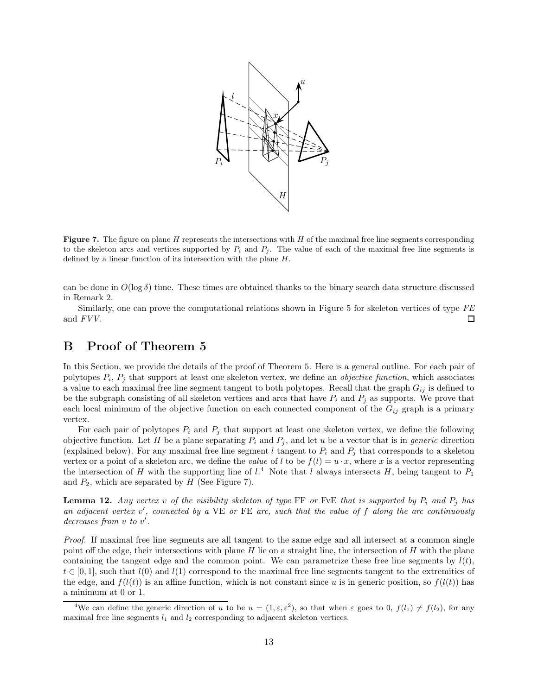

**Figure 7.** The figure on plane H represents the intersections with  $H$  of the maximal free line segments corresponding to the skeleton arcs and vertices supported by  $P_i$  and  $P_j$ . The value of each of the maximal free line segments is defined by a linear function of its intersection with the plane H.

can be done in  $O(\log \delta)$  time. These times are obtained thanks to the binary search data structure discussed in Remark 2.

Similarly, one can prove the computational relations shown in Figure 5 for skeleton vertices of type FE and FVV.  $\Box$ 

# B Proof of Theorem 5

In this Section, we provide the details of the proof of Theorem 5. Here is a general outline. For each pair of polytopes  $P_i$ ,  $P_j$  that support at least one skeleton vertex, we define an *objective function*, which associates a value to each maximal free line segment tangent to both polytopes. Recall that the graph  $G_{ij}$  is defined to be the subgraph consisting of all skeleton vertices and arcs that have  $P_i$  and  $P_j$  as supports. We prove that each local minimum of the objective function on each connected component of the  $G_{ij}$  graph is a primary vertex.

For each pair of polytopes  $P_i$  and  $P_j$  that support at least one skeleton vertex, we define the following objective function. Let H be a plane separating  $P_i$  and  $P_j$ , and let u be a vector that is in *generic* direction (explained below). For any maximal free line segment l tangent to  $P_i$  and  $P_j$  that corresponds to a skeleton vertex or a point of a skeleton arc, we define the value of l to be  $f(l) = u \cdot x$ , where x is a vector representing the intersection of H with the supporting line of  $l^{4}$ . Note that l always intersects H, being tangent to  $P_1$ and  $P_2$ , which are separated by  $H$  (See Figure 7).

**Lemma 12.** Any vertex v of the visibility skeleton of type FF or FvE that is supported by  $P_i$  and  $P_j$  has an adjacent vertex v', connected by a VE or FE arc, such that the value of f along the arc continuously decreases from v to v'.

Proof. If maximal free line segments are all tangent to the same edge and all intersect at a common single point off the edge, their intersections with plane  $H$  lie on a straight line, the intersection of  $H$  with the plane containing the tangent edge and the common point. We can parametrize these free line segments by  $l(t)$ ,  $t \in [0, 1]$ , such that  $l(0)$  and  $l(1)$  correspond to the maximal free line segments tangent to the extremities of the edge, and  $f(l(t))$  is an affine function, which is not constant since u is in generic position, so  $f(l(t))$  has a minimum at 0 or 1.

<sup>&</sup>lt;sup>4</sup>We can define the generic direction of u to be  $u = (1, \varepsilon, \varepsilon^2)$ , so that when  $\varepsilon$  goes to 0,  $f(l_1) \neq f(l_2)$ , for any maximal free line segments  $l_1$  and  $l_2$  corresponding to adjacent skeleton vertices.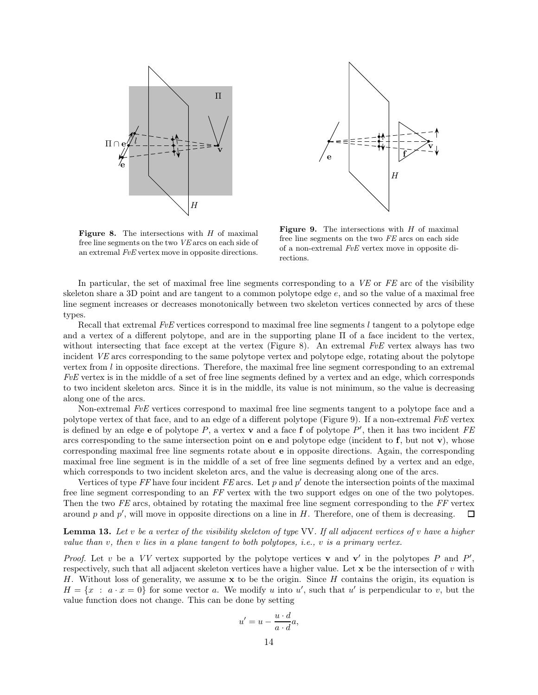

**b** e = - - - - <del>+</del> + - - - - - <del>-</del> **b**  $\ddot{}$ H e f  $\stackrel{\bullet}{\rm v}$ 

**Figure 8.** The intersections with  $H$  of maximal free line segments on the two VE arcs on each side of an extremal FvE vertex move in opposite directions.

**Figure 9.** The intersections with  $H$  of maximal free line segments on the two FE arcs on each side of a non-extremal FvE vertex move in opposite directions.

In particular, the set of maximal free line segments corresponding to a  $VE$  or  $FE$  arc of the visibility skeleton share a 3D point and are tangent to a common polytope edge e, and so the value of a maximal free line segment increases or decreases monotonically between two skeleton vertices connected by arcs of these types.

Recall that extremal  $FvE$  vertices correspond to maximal free line segments l tangent to a polytope edge and a vertex of a different polytope, and are in the supporting plane  $\Pi$  of a face incident to the vertex, without intersecting that face except at the vertex (Figure 8). An extremal  $FvE$  vertex always has two incident VE arcs corresponding to the same polytope vertex and polytope edge, rotating about the polytope vertex from  $l$  in opposite directions. Therefore, the maximal free line segment corresponding to an extremal FvE vertex is in the middle of a set of free line segments defined by a vertex and an edge, which corresponds to two incident skeleton arcs. Since it is in the middle, its value is not minimum, so the value is decreasing along one of the arcs.

Non-extremal FvE vertices correspond to maximal free line segments tangent to a polytope face and a polytope vertex of that face, and to an edge of a different polytope (Figure 9). If a non-extremal FvE vertex is defined by an edge **e** of polytope P, a vertex **v** and a face **f** of polytope  $P'$ , then it has two incident FE arcs corresponding to the same intersection point on **e** and polytope edge (incident to **f**, but not **v**), whose corresponding maximal free line segments rotate about e in opposite directions. Again, the corresponding maximal free line segment is in the middle of a set of free line segments defined by a vertex and an edge, which corresponds to two incident skeleton arcs, and the value is decreasing along one of the arcs.

Vertices of type FF have four incident FE arcs. Let p and  $p'$  denote the intersection points of the maximal free line segment corresponding to an FF vertex with the two support edges on one of the two polytopes. Then the two FE arcs, obtained by rotating the maximal free line segment corresponding to the FF vertex around  $p$  and  $p'$ , will move in opposite directions on a line in  $H$ . Therefore, one of them is decreasing. П

**Lemma 13.** Let v be a vertex of the visibility skeleton of type  $VV$ . If all adjacent vertices of v have a higher value than v, then v lies in a plane tangent to both polytopes, i.e., v is a primary vertex.

*Proof.* Let v be a VV vertex supported by the polytope vertices v and v' in the polytopes P and P', respectively, such that all adjacent skeleton vertices have a higher value. Let  $x$  be the intersection of v with H. Without loss of generality, we assume  $x$  to be the origin. Since H contains the origin, its equation is  $H = \{x : a \cdot x = 0\}$  for some vector a. We modify u into u', such that u' is perpendicular to v, but the value function does not change. This can be done by setting

$$
u' = u - \frac{u \cdot d}{a \cdot d}a,
$$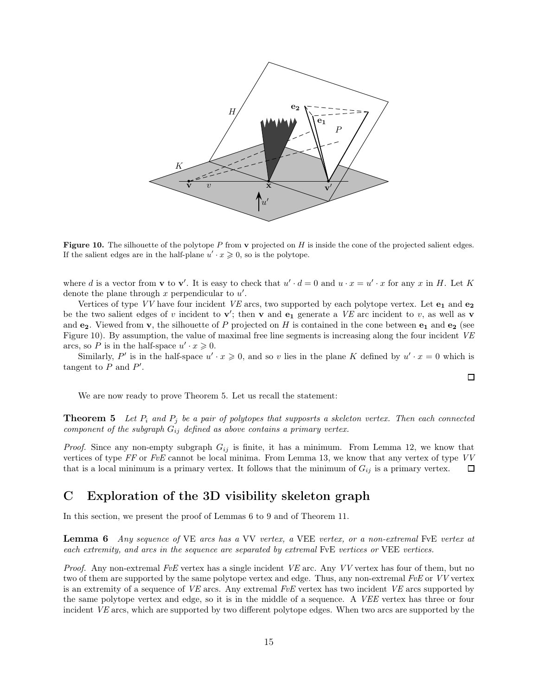

Figure 10. The silhouette of the polytope  $P$  from  $\bf{v}$  projected on  $H$  is inside the cone of the projected salient edges. If the salient edges are in the half-plane  $u' \cdot x \geqslant 0$ , so is the polytope.

where d is a vector from **v** to **v'**. It is easy to check that  $u' \cdot d = 0$  and  $u \cdot x = u' \cdot x$  for any x in H. Let K denote the plane through x perpendicular to  $u'$ .

Vertices of type VV have four incident VE arcs, two supported by each polytope vertex. Let  $e_1$  and  $e_2$ be the two salient edges of v incident to  $\mathbf{v}'$ ; then  $\mathbf{v}$  and  $\mathbf{e}_1$  generate a VE arc incident to v, as well as  $\mathbf{v}$ and  $e_2$ . Viewed from **v**, the silhouette of P projected on H is contained in the cone between  $e_1$  and  $e_2$  (see Figure 10). By assumption, the value of maximal free line segments is increasing along the four incident VE arcs, so P is in the half-space  $u' \cdot x \geqslant 0$ .

Similarly, P' is in the half-space  $u' \cdot x \geqslant 0$ , and so v lies in the plane K defined by  $u' \cdot x = 0$  which is tangent to  $\overrightarrow{P}$  and  $P'$ .

 $\Box$ 

We are now ready to prove Theorem 5. Let us recall the statement:

**Theorem 5** Let  $P_i$  and  $P_j$  be a pair of polytopes that supposits a skeleton vertex. Then each connected component of the subgraph  $G_{ij}$  defined as above contains a primary vertex.

*Proof.* Since any non-empty subgraph  $G_{ij}$  is finite, it has a minimum. From Lemma 12, we know that vertices of type FF or FvE cannot be local minima. From Lemma 13, we know that any vertex of type VV that is a local minimum is a primary vertex. It follows that the minimum of  $G_{ij}$  is a primary vertex.  $\Box$ 

# C Exploration of the 3D visibility skeleton graph

In this section, we present the proof of Lemmas 6 to 9 and of Theorem 11.

**Lemma 6** Any sequence of VE arcs has a VV vertex, a VEE vertex, or a non-extremal FvE vertex at each extremity, and arcs in the sequence are separated by extremal FvE vertices or VEE vertices.

Proof. Any non-extremal FvE vertex has a single incident VE arc. Any VV vertex has four of them, but no two of them are supported by the same polytope vertex and edge. Thus, any non-extremal  $FvE$  or VV vertex is an extremity of a sequence of VE arcs. Any extremal FvE vertex has two incident VE arcs supported by the same polytope vertex and edge, so it is in the middle of a sequence. A VEE vertex has three or four incident VE arcs, which are supported by two different polytope edges. When two arcs are supported by the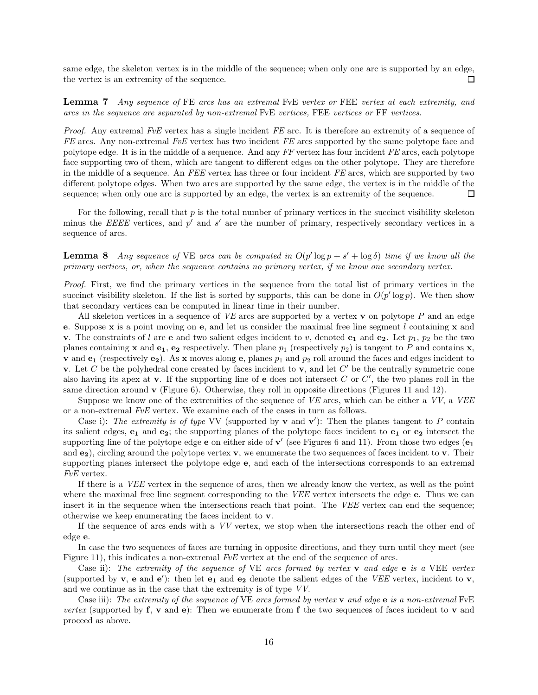same edge, the skeleton vertex is in the middle of the sequence; when only one arc is supported by an edge, the vertex is an extremity of the sequence. П

**Lemma 7** Any sequence of FE arcs has an extremal FVE vertex or FEE vertex at each extremity, and arcs in the sequence are separated by non-extremal FvE vertices, FEE vertices or FF vertices.

Proof. Any extremal FvE vertex has a single incident FE arc. It is therefore an extremity of a sequence of FE arcs. Any non-extremal FvE vertex has two incident FE arcs supported by the same polytope face and polytope edge. It is in the middle of a sequence. And any FF vertex has four incident FE arcs, each polytope face supporting two of them, which are tangent to different edges on the other polytope. They are therefore in the middle of a sequence. An FEE vertex has three or four incident FE arcs, which are supported by two different polytope edges. When two arcs are supported by the same edge, the vertex is in the middle of the sequence; when only one arc is supported by an edge, the vertex is an extremity of the sequence.  $\Box$ 

For the following, recall that  $p$  is the total number of primary vertices in the succinct visibility skeleton minus the EEEE vertices, and  $p'$  and  $s'$  are the number of primary, respectively secondary vertices in a sequence of arcs.

**Lemma 8** Any sequence of VE arcs can be computed in  $O(p' \log p + s' + \log \delta)$  time if we know all the primary vertices, or, when the sequence contains no primary vertex, if we know one secondary vertex.

Proof. First, we find the primary vertices in the sequence from the total list of primary vertices in the succinct visibility skeleton. If the list is sorted by supports, this can be done in  $O(p' \log p)$ . We then show that secondary vertices can be computed in linear time in their number.

All skeleton vertices in a sequence of  $VE$  arcs are supported by a vertex v on polytope  $P$  and an edge e. Suppose x is a point moving on e, and let us consider the maximal free line segment  $l$  containing x and v. The constraints of l are e and two salient edges incident to v, denoted  $e_1$  and  $e_2$ . Let  $p_1, p_2$  be the two planes containing **x** and **e**<sub>1</sub>, **e**<sub>2</sub> respectively. Then plane  $p_1$  (respectively  $p_2$ ) is tangent to P and contains **x**, **v** and **e**<sub>1</sub> (respectively **e**<sub>2</sub>). As **x** moves along **e**, planes  $p_1$  and  $p_2$  roll around the faces and edges incident to v. Let  $C$  be the polyhedral cone created by faces incident to v, and let  $C'$  be the centrally symmetric cone also having its apex at  $\bf{v}$ . If the supporting line of  $\bf{e}$  does not intersect C or C', the two planes roll in the same direction around v (Figure 6). Otherwise, they roll in opposite directions (Figures 11 and 12).

Suppose we know one of the extremities of the sequence of  $VE$  arcs, which can be either a  $VV$ , a  $VEE$ or a non-extremal FvE vertex. We examine each of the cases in turn as follows.

Case i): The extremity is of type VV (supported by **v** and **v**'): Then the planes tangent to P contain its salient edges,  $e_1$  and  $e_2$ ; the supporting planes of the polytope faces incident to  $e_1$  or  $e_2$  intersect the supporting line of the polytope edge **e** on either side of  $\mathbf{v}'$  (see Figures 6 and 11). From those two edges ( $\mathbf{e}_1$ and  $e_2$ ), circling around the polytope vertex **v**, we enumerate the two sequences of faces incident to **v**. Their supporting planes intersect the polytope edge e, and each of the intersections corresponds to an extremal FvE vertex.

If there is a VEE vertex in the sequence of arcs, then we already know the vertex, as well as the point where the maximal free line segment corresponding to the *VEE* vertex intersects the edge **e**. Thus we can insert it in the sequence when the intersections reach that point. The VEE vertex can end the sequence; otherwise we keep enumerating the faces incident to v.

If the sequence of arcs ends with a VV vertex, we stop when the intersections reach the other end of edge e.

In case the two sequences of faces are turning in opposite directions, and they turn until they meet (see Figure 11), this indicates a non-extremal FvE vertex at the end of the sequence of arcs.

Case ii): The extremity of the sequence of  $VE$  arcs formed by vertex  $\bf{v}$  and edge  $\bf{e}$  is a VEE vertex (supported by  $v$ , e and  $e'$ ): then let  $e_1$  and  $e_2$  denote the salient edges of the VEE vertex, incident to  $v$ , and we continue as in the case that the extremity is of type VV.

Case iii): The extremity of the sequence of VE arcs formed by vertex  $\bf{v}$  and edge  $\bf{e}$  is a non-extremal FvE vertex (supported by  $f$ ,  $v$  and  $e$ ): Then we enumerate from  $f$  the two sequences of faces incident to  $v$  and proceed as above.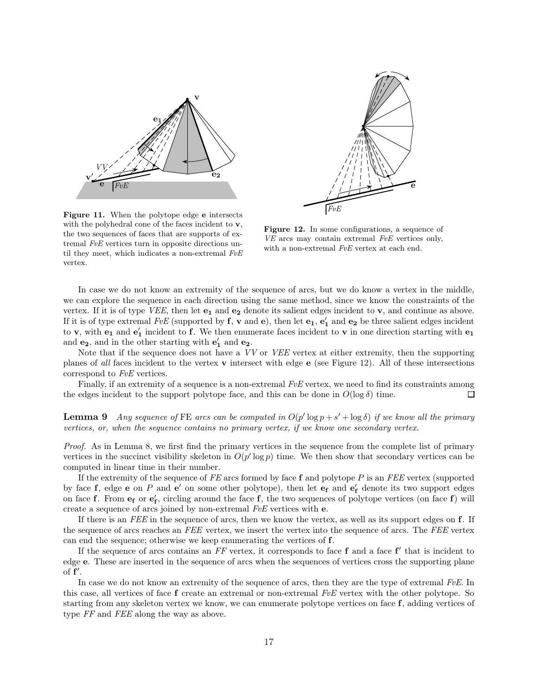

Figure 11. When the polytope edge e intersects with the polyhedral cone of the faces incident to **v**, the two sequences of faces that are supports of extremal FvE vertices turn in opposite directions until they meet, which indicates a non-extremal FvE vertex.



Figure 12. In some configurations, a sequence of VE arcs may contain extremal FvE vertices only, with a non-extremal  $FvE$  vertex at each end.

In case we do not know an extremity of the sequence of arcs, but we do know a vertex in the middle, we can explore the sequence in each direction using the same method, since we know the constraints of the vertex. If it is of type VEE, then let  $e_1$  and  $e_2$  denote its salient edges incident to  $v$ , and continue as above. If it is of type extremal  $FvE$  (supported by f, v and e), then let  $e_1$ ,  $e'_1$  and  $e_2$  be three salient edges incident to v, with  $e_1$  and  $e'_1$  incident to f. We then enumerate faces incident to v in one direction starting with  $e_1$ and  $\mathbf{e}_2$ , and in the other starting with  $\mathbf{e}'_1$  and  $\mathbf{e}_2$ .

Note that if the sequence does not have a VV or VEE vertex at either extremity, then the supporting planes of all faces incident to the vertex v intersect with edge e (see Figure 12). All of these intersections correspond to FvE vertices.

Finally, if an extremity of a sequence is a non-extremal  $FvE$  vertex, we need to find its constraints among the edges incident to the support polytope face, and this can be done in  $O(\log \delta)$  time.  $\Box$ 

**Lemma 9** Any sequence of FE arcs can be computed in  $O(p' \log p + s' + \log \delta)$  if we know all the primary vertices, or, when the sequence contains no primary vertex, if we know one secondary vertex.

Proof. As in Lemma 8, we first find the primary vertices in the sequence from the complete list of primary vertices in the succinct visibility skeleton in  $O(p' \log p)$  time. We then show that secondary vertices can be computed in linear time in their number.

If the extremity of the sequence of  $FE$  arcs formed by face  $f$  and polytope  $P$  is an  $FEE$  vertex (supported by face f, edge e on P and  $e'$  on some other polytope), then let  $e_f$  and  $e'_f$  denote its two support edges on face **f**. From  $e_f$  or  $e'_f$ , circling around the face **f**, the two sequences of polytope vertices (on face **f**) will create a sequence of arcs joined by non-extremal FvE vertices with e.

If there is an FEE in the sequence of arcs, then we know the vertex, as well as its support edges on f. If the sequence of arcs reaches an FEE vertex, we insert the vertex into the sequence of arcs. The FEE vertex can end the sequence; otherwise we keep enumerating the vertices of f.

If the sequence of arcs contains an  $\overline{FF}$  vertex, it corresponds to face  $f$  and a face  $f'$  that is incident to edge e. These are inserted in the sequence of arcs when the sequences of vertices cross the supporting plane of  $\check{\mathbf{f}}'$ .

In case we do not know an extremity of the sequence of arcs, then they are the type of extremal FvE. In this case, all vertices of face f create an extremal or non-extremal FvE vertex with the other polytope. So starting from any skeleton vertex we know, we can enumerate polytope vertices on face f, adding vertices of type FF and FEE along the way as above.